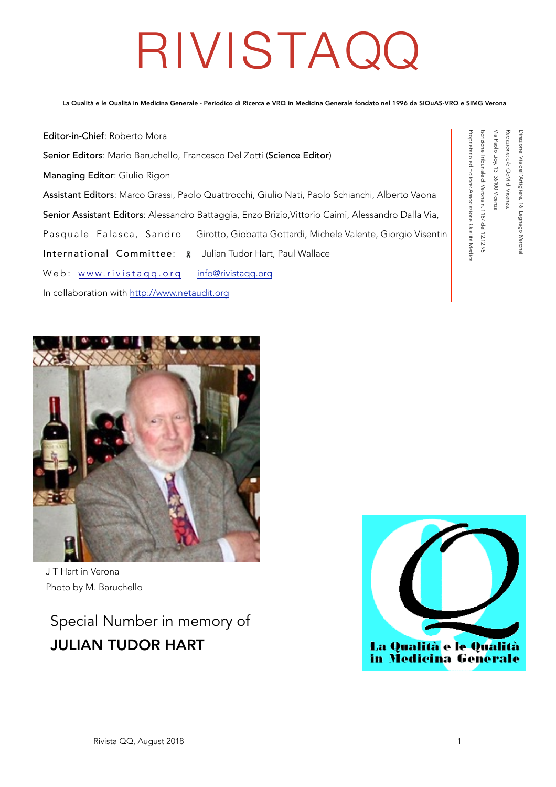# RIVISTAQQ

La Qualità e le Qualità in Medicina Generale - Periodico di Ricerca e VRQ in Medicina Generale fondato nel 1996 da SIQuAS-VRQ e SIMG Verona

Editor-in-Chief: Roberto Mora oprietario ed Editore: Associazione Qualità Medica Senior Editors: Mario Baruchello, Francesco Del Zotti (Science Editor) Managing Editor: Giulio Rigon Assistant Editors: Marco Grassi, Paolo Quattrocchi, Giulio Nati, Paolo Schianchi, Alberto Vaona Senior Assistant Editors: Alessandro Battaggia, Enzo Brizio,Vittorio Caimi, Alessandro Dalla Via, Pasquale Falasca, Sandro Girotto, Giobatta Gottardi, Michele Valente, Giorgio Visentin International Committee: & Julian Tudor Hart, Paul Wallace Web: [www.rivistaqq.org](http://www.rivistaqq.org) [info@rivistaqq.org](mailto:info@rivistaqq.org) In collaboration with<http://www.netaudit.org>



J T Hart in Verona Photo by M. Baruchello

Special Number in memory of JULIAN TUDOR HART



Proprietario ed Editore: Associazione Qualità Medica Iscrizione Tribunale di Verona n. 1187 del 12.12.95

crizione Tribunale di Verona n. 1187 del 12.12.95

Via Paolo Lioy, 13 36100 Vicenza Redazione: c/o OdM di Vicenza,

<sup>r</sup>ia Paolo Lioy

**Pazione** 

: do OdM di Vicenza 13 36100 Vicenza

Direzione: Via dell'Artigliere, 16 Legnago (Verona)

ezione: Via dell'Artigliere, 16 Legnago (Verona)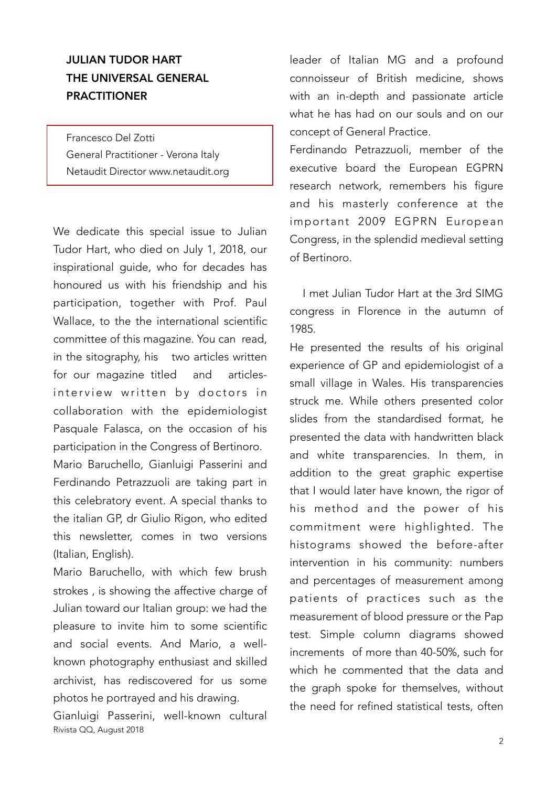## JULIAN TUDOR HART THE UNIVERSAL GENERAL PRACTITIONER

Francesco Del Zotti General Practitioner - Verona Italy Netaudit Director www.netaudit.org

We dedicate this special issue to Julian Tudor Hart, who died on July 1, 2018, our inspirational guide, who for decades has honoured us with his friendship and his participation, together with Prof. Paul Wallace, to the the international scientific committee of this magazine. You can read, in the sitography, his two articles written for our magazine titled and articlesinterview written by doctors in collaboration with the epidemiologist Pasquale Falasca, on the occasion of his participation in the Congress of Bertinoro.

Mario Baruchello, Gianluigi Passerini and Ferdinando Petrazzuoli are taking part in this celebratory event. A special thanks to the italian GP, dr Giulio Rigon, who edited this newsletter, comes in two versions (Italian, English).

Mario Baruchello, with which few brush strokes , is showing the affective charge of Julian toward our Italian group: we had the pleasure to invite him to some scientific and social events. And Mario, a wellknown photography enthusiast and skilled archivist, has rediscovered for us some photos he portrayed and his drawing.

Gianluigi Passerini, well-known cultural Rivista QQ, August 2018

leader of Italian MG and a profound connoisseur of British medicine, shows with an in-depth and passionate article what he has had on our souls and on our concept of General Practice.

Ferdinando Petrazzuoli, member of the executive board the European EGPRN research network, remembers his figure and his masterly conference at the important 2009 EGPRN European Congress, in the splendid medieval setting of Bertinoro.

I met Julian Tudor Hart at the 3rd SIMG congress in Florence in the autumn of 1985.

He presented the results of his original experience of GP and epidemiologist of a small village in Wales. His transparencies struck me. While others presented color slides from the standardised format, he presented the data with handwritten black and white transparencies. In them, in addition to the great graphic expertise that I would later have known, the rigor of his method and the power of his commitment were highlighted. The histograms showed the before-after intervention in his community: numbers and percentages of measurement among patients of practices such as the measurement of blood pressure or the Pap test. Simple column diagrams showed increments of more than 40-50%, such for which he commented that the data and the graph spoke for themselves, without the need for refined statistical tests, often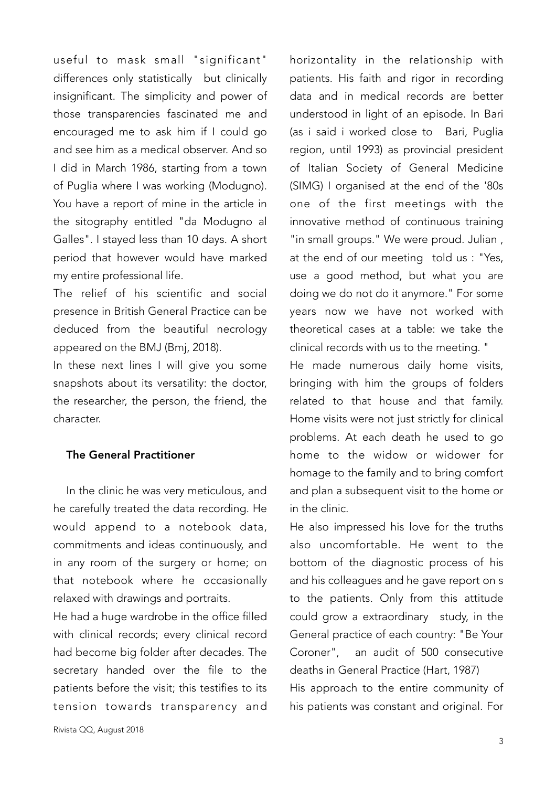useful to mask small "significant" differences only statistically but clinically insignificant. The simplicity and power of those transparencies fascinated me and encouraged me to ask him if I could go and see him as a medical observer. And so I did in March 1986, starting from a town of Puglia where I was working (Modugno). You have a report of mine in the article in the sitography entitled "da Modugno al Galles". I stayed less than 10 days. A short period that however would have marked my entire professional life.

The relief of his scientific and social presence in British General Practice can be deduced from the beautiful necrology appeared on the BMJ (Bmj, 2018).

In these next lines I will give you some snapshots about its versatility: the doctor, the researcher, the person, the friend, the character.

#### The General Practitioner

In the clinic he was very meticulous, and he carefully treated the data recording. He would append to a notebook data, commitments and ideas continuously, and in any room of the surgery or home; on that notebook where he occasionally relaxed with drawings and portraits.

He had a huge wardrobe in the office filled with clinical records; every clinical record had become big folder after decades. The secretary handed over the file to the patients before the visit; this testifies to its tension towards transparency and

data and in medical records are better understood in light of an episode. In Bari (as i said i worked close to Bari, Puglia region, until 1993) as provincial president of Italian Society of General Medicine (SIMG) I organised at the end of the '80s one of the first meetings with the innovative method of continuous training "in small groups." We were proud. Julian , at the end of our meeting told us : "Yes, use a good method, but what you are doing we do not do it anymore." For some years now we have not worked with theoretical cases at a table: we take the clinical records with us to the meeting. " He made numerous daily home visits,

horizontality in the relationship with patients. His faith and rigor in recording

bringing with him the groups of folders related to that house and that family. Home visits were not just strictly for clinical problems. At each death he used to go home to the widow or widower for homage to the family and to bring comfort and plan a subsequent visit to the home or in the clinic.

He also impressed his love for the truths also uncomfortable. He went to the bottom of the diagnostic process of his and his colleagues and he gave report on s to the patients. Only from this attitude could grow a extraordinary study, in the General practice of each country: "Be Your Coroner", an audit of 500 consecutive deaths in General Practice (Hart, 1987) His approach to the entire community of his patients was constant and original. For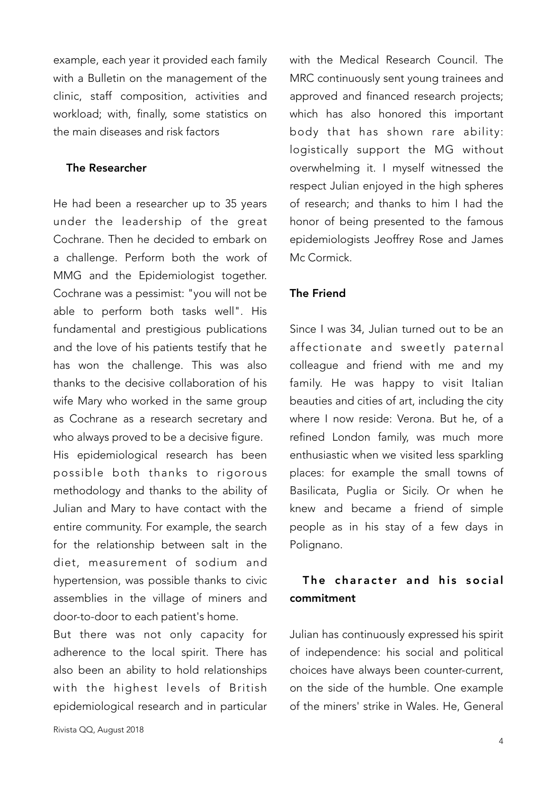example, each year it provided each family with a Bulletin on the management of the clinic, staff composition, activities and workload; with, finally, some statistics on the main diseases and risk factors

#### The Researcher

He had been a researcher up to 35 years under the leadership of the great Cochrane. Then he decided to embark on a challenge. Perform both the work of MMG and the Epidemiologist together. Cochrane was a pessimist: "you will not be able to perform both tasks well". His fundamental and prestigious publications and the love of his patients testify that he has won the challenge. This was also thanks to the decisive collaboration of his wife Mary who worked in the same group as Cochrane as a research secretary and who always proved to be a decisive figure. His epidemiological research has been possible both thanks to rigorous

methodology and thanks to the ability of Julian and Mary to have contact with the entire community. For example, the search for the relationship between salt in the diet, measurement of sodium and hypertension, was possible thanks to civic assemblies in the village of miners and door-to-door to each patient's home.

But there was not only capacity for adherence to the local spirit. There has also been an ability to hold relationships with the highest levels of British epidemiological research and in particular

Rivista QQ, August 2018

with the Medical Research Council. The MRC continuously sent young trainees and approved and financed research projects; which has also honored this important body that has shown rare ability: logistically support the MG without overwhelming it. I myself witnessed the respect Julian enjoyed in the high spheres of research; and thanks to him I had the honor of being presented to the famous epidemiologists Jeoffrey Rose and James Mc Cormick.

#### The Friend

Since I was 34, Julian turned out to be an affectionate and sweetly paternal colleague and friend with me and my family. He was happy to visit Italian beauties and cities of art, including the city where I now reside: Verona. But he, of a refined London family, was much more enthusiastic when we visited less sparkling places: for example the small towns of Basilicata, Puglia or Sicily. Or when he knew and became a friend of simple people as in his stay of a few days in Polignano.

### The character and his social commitment

Julian has continuously expressed his spirit of independence: his social and political choices have always been counter-current, on the side of the humble. One example of the miners' strike in Wales. He, General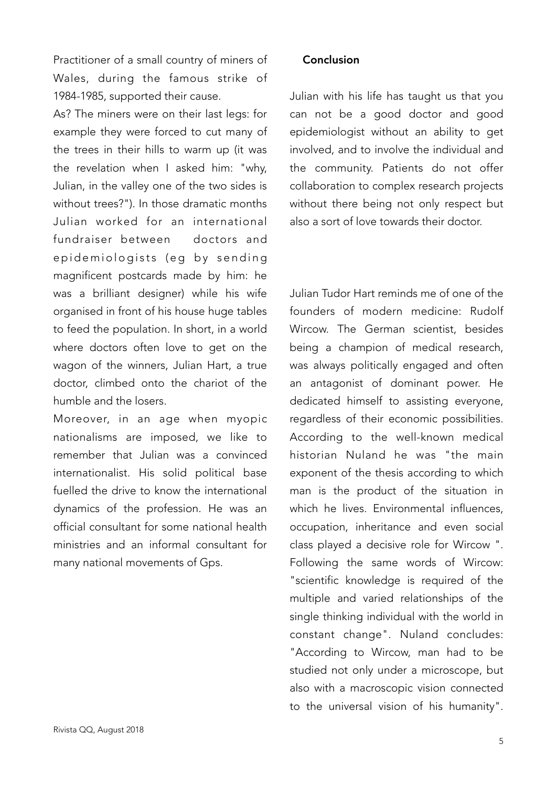Practitioner of a small country of miners of Wales, during the famous strike of 1984-1985, supported their cause.

As? The miners were on their last legs: for example they were forced to cut many of the trees in their hills to warm up (it was the revelation when I asked him: "why, Julian, in the valley one of the two sides is without trees?"). In those dramatic months Julian worked for an international fundraiser between doctors and epidemiologists (eg by sending magnificent postcards made by him: he was a brilliant designer) while his wife organised in front of his house huge tables to feed the population. In short, in a world where doctors often love to get on the wagon of the winners, Julian Hart, a true doctor, climbed onto the chariot of the humble and the losers.

Moreover, in an age when myopic nationalisms are imposed, we like to remember that Julian was a convinced internationalist. His solid political base fuelled the drive to know the international dynamics of the profession. He was an official consultant for some national health ministries and an informal consultant for many national movements of Gps.

#### Conclusion

Julian with his life has taught us that you can not be a good doctor and good epidemiologist without an ability to get involved, and to involve the individual and the community. Patients do not offer collaboration to complex research projects without there being not only respect but also a sort of love towards their doctor.

Julian Tudor Hart reminds me of one of the founders of modern medicine: Rudolf Wircow. The German scientist, besides being a champion of medical research, was always politically engaged and often an antagonist of dominant power. He dedicated himself to assisting everyone, regardless of their economic possibilities. According to the well-known medical historian Nuland he was "the main exponent of the thesis according to which man is the product of the situation in which he lives. Environmental influences, occupation, inheritance and even social class played a decisive role for Wircow ". Following the same words of Wircow: "scientific knowledge is required of the multiple and varied relationships of the single thinking individual with the world in constant change". Nuland concludes: "According to Wircow, man had to be studied not only under a microscope, but also with a macroscopic vision connected to the universal vision of his humanity".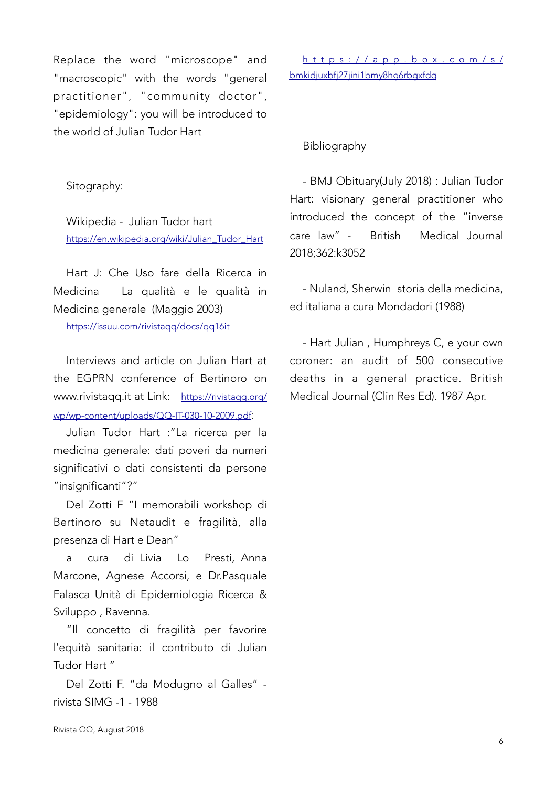Replace the word "microscope" and "macroscopic" with the words "general practitioner", "community doctor", "epidemiology": you will be introduced to the world of Julian Tudor Hart

Sitography:

Wikipedia - Julian Tudor hart [https://en.wikipedia.org/wiki/Julian\\_Tudor\\_Hart](https://en.wikipedia.org/wiki/Julian_Tudor_Hart)

Hart J: Che Uso fare della Ricerca in Medicina La qualità e le qualità in Medicina generale (Maggio 2003) <https://issuu.com/rivistaqq/docs/qq16it>

Interviews and article on Julian Hart at the EGPRN conference of Bertinoro on www.rivistaqq.it at Link: [https://rivistaqq.org/](https://rivistaqq.org/wp/wp-content/uploads/QQ-IT-030-10-2009.pdf) [wp/wp-content/uploads/QQ-IT-030-10-2009.pdf](https://rivistaqq.org/wp/wp-content/uploads/QQ-IT-030-10-2009.pdf):

Julian Tudor Hart :"La ricerca per la medicina generale: dati poveri da numeri significativi o dati consistenti da persone "insignificanti"?"

Del Zotti F "I memorabili workshop di Bertinoro su Netaudit e fragilità, alla presenza di Hart e Dean"

a cura di Livia Lo Presti, Anna Marcone, Agnese Accorsi, e Dr.Pasquale Falasca Unità di Epidemiologia Ricerca & Sviluppo , Ravenna.

"Il concetto di fragilità per favorire l'equità sanitaria: il contributo di Julian Tudor Hart "

Del Zotti F. "da Modugno al Galles" rivista SIMG -1 - 1988

[https://app.box.com/s/](https://app.box.com/s/bmkidjuxbfj27jini1bmy8hg6rbgxfdq) [bmkidjuxbfj27jini1bmy8hg6rbgxfdq](https://app.box.com/s/bmkidjuxbfj27jini1bmy8hg6rbgxfdq)

Bibliography

- BMJ Obituary(July 2018) : Julian Tudor Hart: visionary general practitioner who introduced the concept of the "inverse care law" - British Medical Journal 2018;362:k3052

- Nuland, Sherwin storia della medicina, ed italiana a cura Mondadori (1988)

- Hart Julian , Humphreys C, e your own coroner: an audit of 500 consecutive deaths in a general practice. British Medical Journal (Clin Res Ed). 1987 Apr.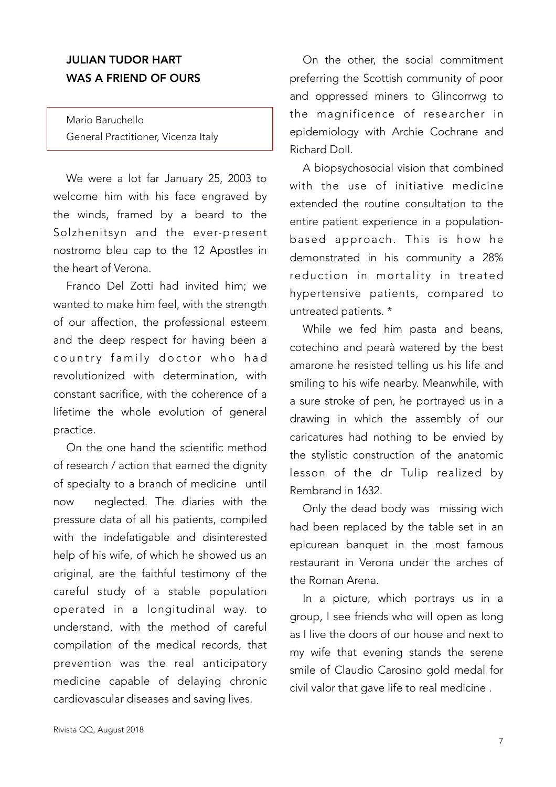## JULIAN TUDOR HART WAS A FRIEND OF OURS

Mario Baruchello General Practitioner, Vicenza Italy

We were a lot far January 25, 2003 to welcome him with his face engraved by the winds, framed by a beard to the Solzhenitsyn and the ever-present nostromo bleu cap to the 12 Apostles in the heart of Verona.

Franco Del Zotti had invited him; we wanted to make him feel, with the strength of our affection, the professional esteem and the deep respect for having been a country family doctor who had revolutionized with determination, with constant sacrifice, with the coherence of a lifetime the whole evolution of general practice.

On the one hand the scientific method of research / action that earned the dignity of specialty to a branch of medicine until now neglected. The diaries with the pressure data of all his patients, compiled with the indefatigable and disinterested help of his wife, of which he showed us an original, are the faithful testimony of the careful study of a stable population operated in a longitudinal way. to understand, with the method of careful compilation of the medical records, that prevention was the real anticipatory medicine capable of delaying chronic cardiovascular diseases and saving lives.

On the other, the social commitment preferring the Scottish community of poor and oppressed miners to Glincorrwg to the magnificence of researcher in epidemiology with Archie Cochrane and Richard Doll.

A biopsychosocial vision that combined with the use of initiative medicine extended the routine consultation to the entire patient experience in a populationbased approach. This is how he demonstrated in his community a 28% reduction in mortality in treated hypertensive patients, compared to untreated patients. \*

While we fed him pasta and beans, cotechino and pearà watered by the best amarone he resisted telling us his life and smiling to his wife nearby. Meanwhile, with a sure stroke of pen, he portrayed us in a drawing in which the assembly of our caricatures had nothing to be envied by the stylistic construction of the anatomic lesson of the dr Tulip realized by Rembrand in 1632.

Only the dead body was missing wich had been replaced by the table set in an epicurean banquet in the most famous restaurant in Verona under the arches of the Roman Arena.

In a picture, which portrays us in a group, I see friends who will open as long as I live the doors of our house and next to my wife that evening stands the serene smile of Claudio Carosino gold medal for civil valor that gave life to real medicine .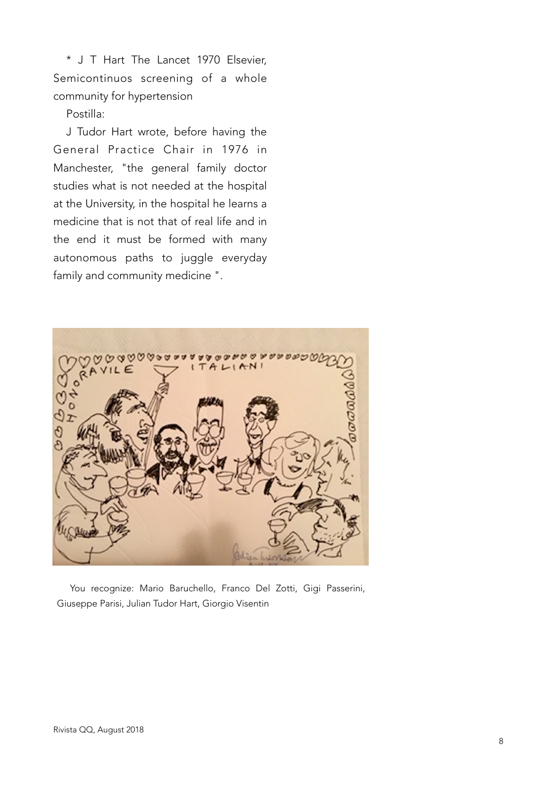\* J T Hart The Lancet 1970 Elsevier, Semicontinuos screening of a whole community for hypertension

#### Postilla:

J Tudor Hart wrote, before having the General Practice Chair in 1976 in Manchester, "the general family doctor studies what is not needed at the hospital at the University, in the hospital he learns a medicine that is not that of real life and in the end it must be formed with many autonomous paths to juggle everyday family and community medicine ".



You recognize: Mario Baruchello, Franco Del Zotti, Gigi Passerini, Giuseppe Parisi, Julian Tudor Hart, Giorgio Visentin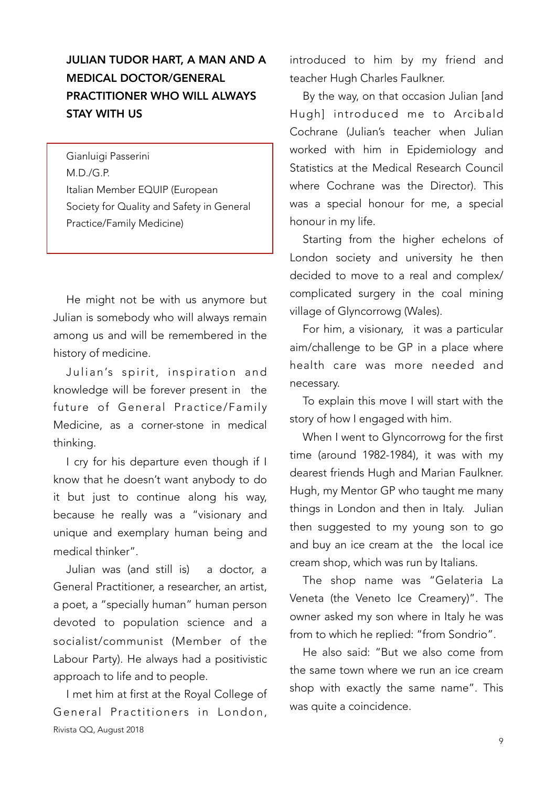## JULIAN TUDOR HART, A MAN AND A MEDICAL DOCTOR/GENERAL PRACTITIONER WHO WILL ALWAYS STAY WITH US

Gianluigi Passerini M.D./G.P. Italian Member EQUIP (European Society for Quality and Safety in General Practice/Family Medicine)

He might not be with us anymore but Julian is somebody who will always remain among us and will be remembered in the history of medicine.

Julian's spirit, inspiration and knowledge will be forever present in the future of General Practice/Family Medicine, as a corner-stone in medical thinking.

I cry for his departure even though if I know that he doesn't want anybody to do it but just to continue along his way, because he really was a "visionary and unique and exemplary human being and medical thinker".

Julian was (and still is) a doctor, a General Practitioner, a researcher, an artist, a poet, a "specially human" human person devoted to population science and a socialist/communist (Member of the Labour Party). He always had a positivistic approach to life and to people.

I met him at first at the Royal College of General Practitioners in London, Rivista QQ, August 2018

introduced to him by my friend and teacher Hugh Charles Faulkner.

By the way, on that occasion Julian [and Hugh] introduced me to Arcibald Cochrane (Julian's teacher when Julian worked with him in Epidemiology and Statistics at the Medical Research Council where Cochrane was the Director). This was a special honour for me, a special honour in my life.

Starting from the higher echelons of London society and university he then decided to move to a real and complex/ complicated surgery in the coal mining village of Glyncorrowg (Wales).

For him, a visionary, it was a particular aim/challenge to be GP in a place where health care was more needed and necessary.

To explain this move I will start with the story of how I engaged with him.

When I went to Glyncorrowg for the first time (around 1982-1984), it was with my dearest friends Hugh and Marian Faulkner. Hugh, my Mentor GP who taught me many things in London and then in Italy. Julian then suggested to my young son to go and buy an ice cream at the the local ice cream shop, which was run by Italians.

The shop name was "Gelateria La Veneta (the Veneto Ice Creamery)". The owner asked my son where in Italy he was from to which he replied: "from Sondrio".

He also said: "But we also come from the same town where we run an ice cream shop with exactly the same name". This was quite a coincidence.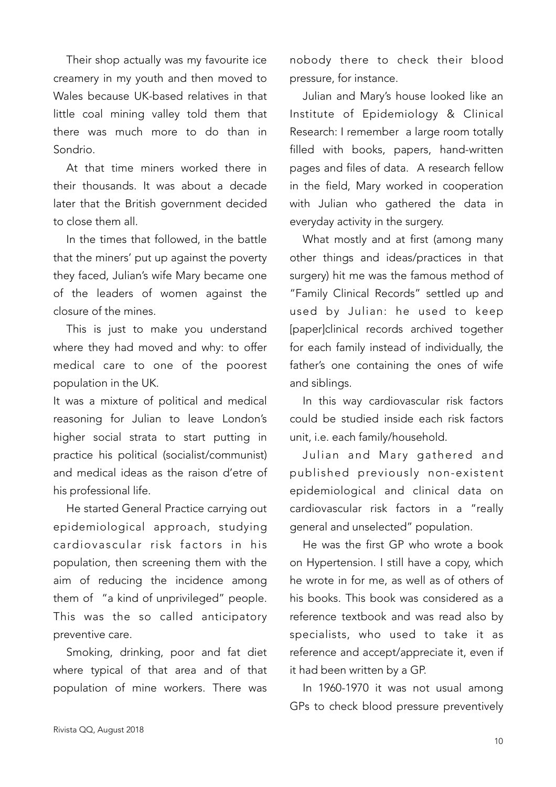Their shop actually was my favourite ice creamery in my youth and then moved to Wales because UK-based relatives in that little coal mining valley told them that there was much more to do than in Sondrio.

At that time miners worked there in their thousands. It was about a decade later that the British government decided to close them all.

In the times that followed, in the battle that the miners' put up against the poverty they faced, Julian's wife Mary became one of the leaders of women against the closure of the mines.

This is just to make you understand where they had moved and why: to offer medical care to one of the poorest population in the UK.

It was a mixture of political and medical reasoning for Julian to leave London's higher social strata to start putting in practice his political (socialist/communist) and medical ideas as the raison d'etre of his professional life.

He started General Practice carrying out epidemiological approach, studying cardiovascular risk factors in his population, then screening them with the aim of reducing the incidence among them of "a kind of unprivileged" people. This was the so called anticipatory preventive care.

Smoking, drinking, poor and fat diet where typical of that area and of that population of mine workers. There was

nobody there to check their blood pressure, for instance.

Julian and Mary's house looked like an Institute of Epidemiology & Clinical Research: I remember a large room totally filled with books, papers, hand-written pages and files of data. A research fellow in the field, Mary worked in cooperation with Julian who gathered the data in everyday activity in the surgery.

What mostly and at first (among many other things and ideas/practices in that surgery) hit me was the famous method of "Family Clinical Records" settled up and used by Julian: he used to keep [paper]clinical records archived together for each family instead of individually, the father's one containing the ones of wife and siblings.

In this way cardiovascular risk factors could be studied inside each risk factors unit, i.e. each family/household.

Julian and Mary gathered and published previously non-existent epidemiological and clinical data on cardiovascular risk factors in a "really general and unselected" population.

He was the first GP who wrote a book on Hypertension. I still have a copy, which he wrote in for me, as well as of others of his books. This book was considered as a reference textbook and was read also by specialists, who used to take it as reference and accept/appreciate it, even if it had been written by a GP.

In 1960-1970 it was not usual among GPs to check blood pressure preventively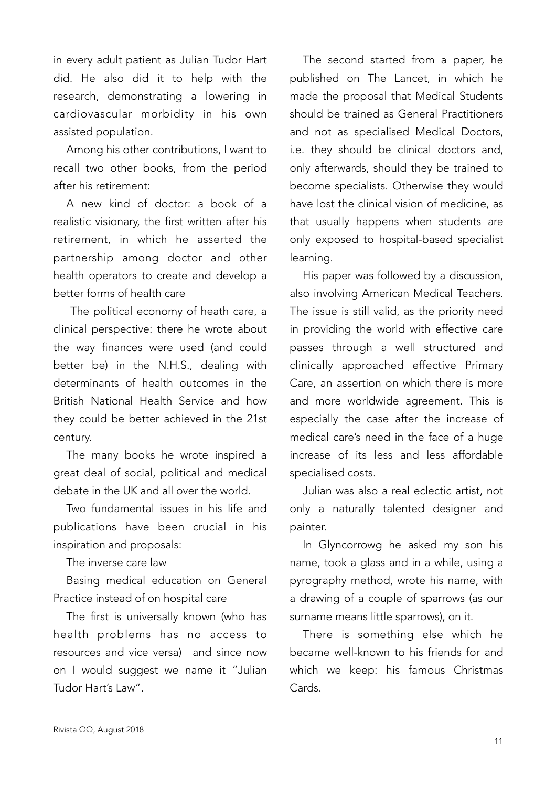in every adult patient as Julian Tudor Hart did. He also did it to help with the research, demonstrating a lowering in cardiovascular morbidity in his own assisted population.

Among his other contributions, I want to recall two other books, from the period after his retirement:

A new kind of doctor: a book of a realistic visionary, the first written after his retirement, in which he asserted the partnership among doctor and other health operators to create and develop a better forms of health care

 The political economy of heath care, a clinical perspective: there he wrote about the way finances were used (and could better be) in the N.H.S., dealing with determinants of health outcomes in the British National Health Service and how they could be better achieved in the 21st century.

The many books he wrote inspired a great deal of social, political and medical debate in the UK and all over the world.

Two fundamental issues in his life and publications have been crucial in his inspiration and proposals:

The inverse care law

Basing medical education on General Practice instead of on hospital care

The first is universally known (who has health problems has no access to resources and vice versa) and since now on I would suggest we name it "Julian Tudor Hart's Law".

The second started from a paper, he published on The Lancet, in which he made the proposal that Medical Students should be trained as General Practitioners and not as specialised Medical Doctors, i.e. they should be clinical doctors and, only afterwards, should they be trained to become specialists. Otherwise they would have lost the clinical vision of medicine, as that usually happens when students are only exposed to hospital-based specialist learning.

His paper was followed by a discussion, also involving American Medical Teachers. The issue is still valid, as the priority need in providing the world with effective care passes through a well structured and clinically approached effective Primary Care, an assertion on which there is more and more worldwide agreement. This is especially the case after the increase of medical care's need in the face of a huge increase of its less and less affordable specialised costs.

Julian was also a real eclectic artist, not only a naturally talented designer and painter.

In Glyncorrowg he asked my son his name, took a glass and in a while, using a pyrography method, wrote his name, with a drawing of a couple of sparrows (as our surname means little sparrows), on it.

There is something else which he became well-known to his friends for and which we keep: his famous Christmas Cards.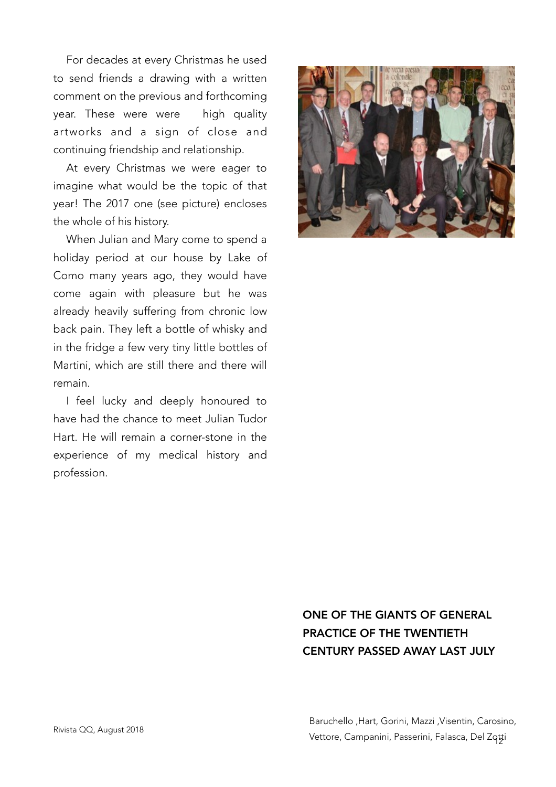For decades at every Christmas he used to send friends a drawing with a written comment on the previous and forthcoming year. These were were high quality artworks and a sign of close and continuing friendship and relationship.

At every Christmas we were eager to imagine what would be the topic of that year! The 2017 one (see picture) encloses the whole of his history.

When Julian and Mary come to spend a holiday period at our house by Lake of Como many years ago, they would have come again with pleasure but he was already heavily suffering from chronic low back pain. They left a bottle of whisky and in the fridge a few very tiny little bottles of Martini, which are still there and there will remain.

I feel lucky and deeply honoured to have had the chance to meet Julian Tudor Hart. He will remain a corner-stone in the experience of my medical history and profession.



# ONE OF THE GIANTS OF GENERAL PRACTICE OF THE TWENTIETH CENTURY PASSED AWAY LAST JULY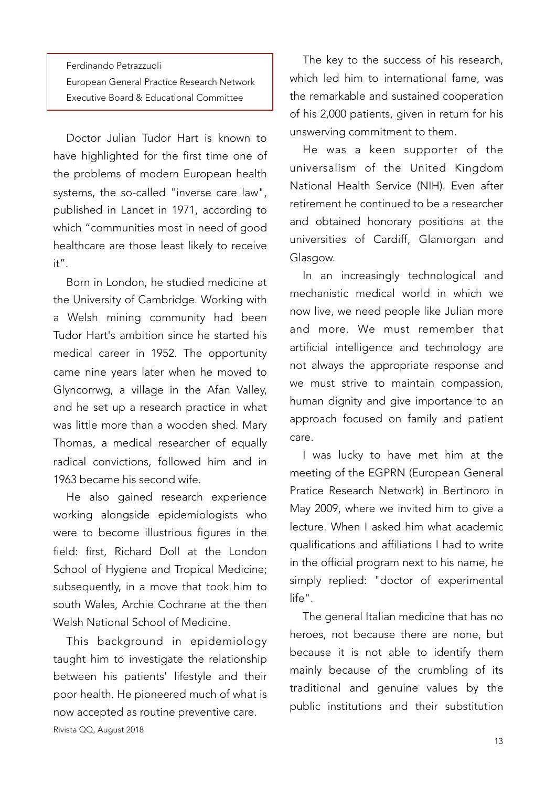Ferdinando Petrazzuoli European General Practice Research Network Executive Board & Educational Committee

Doctor Julian Tudor Hart is known to have highlighted for the first time one of the problems of modern European health systems, the so-called "inverse care law", published in Lancet in 1971, according to which "communities most in need of good healthcare are those least likely to receive  $it''$ 

Born in London, he studied medicine at the University of Cambridge. Working with a Welsh mining community had been Tudor Hart's ambition since he started his medical career in 1952. The opportunity came nine years later when he moved to Glyncorrwg, a village in the Afan Valley, and he set up a research practice in what was little more than a wooden shed. Mary Thomas, a medical researcher of equally radical convictions, followed him and in 1963 became his second wife.

He also gained research experience working alongside epidemiologists who were to become illustrious figures in the field: first, Richard Doll at the London School of Hygiene and Tropical Medicine; subsequently, in a move that took him to south Wales, Archie Cochrane at the then Welsh National School of Medicine.

This background in epidemiology taught him to investigate the relationship between his patients' lifestyle and their poor health. He pioneered much of what is now accepted as routine preventive care.

The key to the success of his research, which led him to international fame, was the remarkable and sustained cooperation of his 2,000 patients, given in return for his unswerving commitment to them.

He was a keen supporter of the universalism of the United Kingdom National Health Service (NIH). Even after retirement he continued to be a researcher and obtained honorary positions at the universities of Cardiff, Glamorgan and Glasgow.

In an increasingly technological and mechanistic medical world in which we now live, we need people like Julian more and more. We must remember that artificial intelligence and technology are not always the appropriate response and we must strive to maintain compassion, human dignity and give importance to an approach focused on family and patient care.

I was lucky to have met him at the meeting of the EGPRN (European General Pratice Research Network) in Bertinoro in May 2009, where we invited him to give a lecture. When I asked him what academic qualifications and affiliations I had to write in the official program next to his name, he simply replied: "doctor of experimental life".

The general Italian medicine that has no heroes, not because there are none, but because it is not able to identify them mainly because of the crumbling of its traditional and genuine values by the public institutions and their substitution